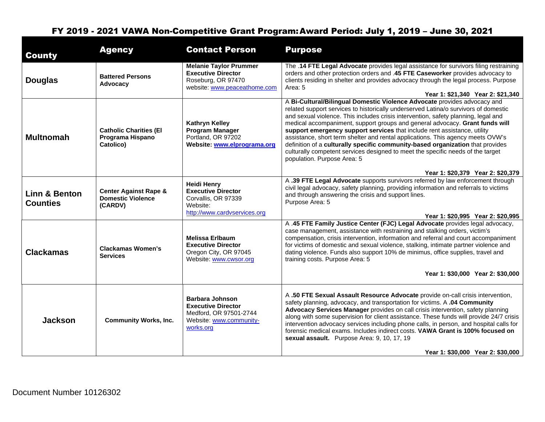| <b>County</b>                    | <b>Agency</b>                                                           | <b>Contact Person</b>                                                                                                 | <b>Purpose</b>                                                                                                                                                                                                                                                                                                                                                                                                                                                                                                                                                                                                                                                                                           |
|----------------------------------|-------------------------------------------------------------------------|-----------------------------------------------------------------------------------------------------------------------|----------------------------------------------------------------------------------------------------------------------------------------------------------------------------------------------------------------------------------------------------------------------------------------------------------------------------------------------------------------------------------------------------------------------------------------------------------------------------------------------------------------------------------------------------------------------------------------------------------------------------------------------------------------------------------------------------------|
| <b>Douglas</b>                   | <b>Battered Persons</b><br>Advocacy                                     | <b>Melanie Taylor Prummer</b><br><b>Executive Director</b><br>Roseburg, OR 97470<br>website: www.peaceathome.com      | The .14 FTE Legal Advocate provides legal assistance for survivors filing restraining<br>orders and other protection orders and .45 FTE Caseworker provides advocacy to<br>clients residing in shelter and provides advocacy through the legal process. Purpose<br>Area: 5<br>Year 1: \$21,340 Year 2: \$21,340                                                                                                                                                                                                                                                                                                                                                                                          |
| <b>Multnomah</b>                 | <b>Catholic Charities (El</b><br>Programa Hispano<br>Catolico)          | <b>Kathryn Kelley</b><br><b>Program Manager</b><br>Portland, OR 97202<br>Website: www.elprograma.org                  | A Bi-Cultural/Bilingual Domestic Violence Advocate provides advocacy and<br>related support services to historically underserved Latina/o survivors of domestic<br>and sexual violence. This includes crisis intervention, safety planning, legal and<br>medical accompaniment, support groups and general advocacy. Grant funds will<br>support emergency support services that include rent assistance, utility<br>assistance, short term shelter and rental applications. This agency meets OVW's<br>definition of a culturally specific community-based organization that provides<br>culturally competent services designed to meet the specific needs of the target<br>population. Purpose Area: 5 |
| Linn & Benton<br><b>Counties</b> | <b>Center Against Rape &amp;</b><br><b>Domestic Violence</b><br>(CARDV) | <b>Heidi Henry</b><br><b>Executive Director</b><br>Corvallis, OR 97339<br>Website:<br>http://www.cardvservices.org    | Year 1: \$20,379 Year 2: \$20,379<br>A .39 FTE Legal Advocate supports survivors referred by law enforcement through<br>civil legal advocacy, safety planning, providing information and referrals to victims<br>and through answering the crisis and support lines.<br>Purpose Area: 5<br>Year 1: \$20,995 Year 2: \$20,995                                                                                                                                                                                                                                                                                                                                                                             |
| <b>Clackamas</b>                 | Clackamas Women's<br><b>Services</b>                                    | <b>Melissa Erlbaum</b><br><b>Executive Director</b><br>Oregon City, OR 97045<br>Website: www.cwsor.org                | A .45 FTE Family Justice Center (FJC) Legal Advocate provides legal advocacy,<br>case management, assistance with restraining and stalking orders, victim's<br>compensation, crisis intervention, information and referral and court accompaniment<br>for victims of domestic and sexual violence, stalking, intimate partner violence and<br>dating violence. Funds also support 10% de minimus, office supplies, travel and<br>training costs. Purpose Area: 5<br>Year 1: \$30,000 Year 2: \$30,000                                                                                                                                                                                                    |
| <b>Jackson</b>                   | <b>Community Works, Inc.</b>                                            | <b>Barbara Johnson</b><br><b>Executive Director</b><br>Medford, OR 97501-2744<br>Website: www.community-<br>works.org | A .50 FTE Sexual Assault Resource Advocate provide on-call crisis intervention,<br>safety planning, advocacy, and transportation for victims. A .04 Community<br>Advocacy Services Manager provides on call crisis intervention, safety planning<br>along with some supervision for client assistance. These funds will provide 24/7 crisis<br>intervention advocacy services including phone calls, in person, and hospital calls for<br>forensic medical exams. Includes indirect costs. VAWA Grant is 100% focused on<br>sexual assault. Purpose Area: 9, 10, 17, 19<br>Year 1: \$30,000 Year 2: \$30,000                                                                                             |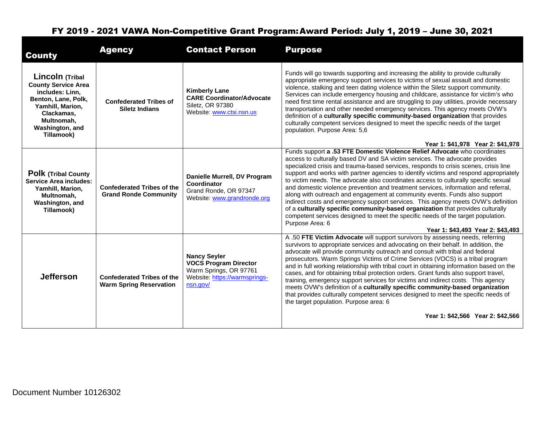| <b>County</b>                                                                                                                                                            | <b>Agency</b>                                                       | <b>Contact Person</b>                                                                                                      | <b>Purpose</b>                                                                                                                                                                                                                                                                                                                                                                                                                                                                                                                                                                                                                                                                                                                                                                                                                                                                                                          |
|--------------------------------------------------------------------------------------------------------------------------------------------------------------------------|---------------------------------------------------------------------|----------------------------------------------------------------------------------------------------------------------------|-------------------------------------------------------------------------------------------------------------------------------------------------------------------------------------------------------------------------------------------------------------------------------------------------------------------------------------------------------------------------------------------------------------------------------------------------------------------------------------------------------------------------------------------------------------------------------------------------------------------------------------------------------------------------------------------------------------------------------------------------------------------------------------------------------------------------------------------------------------------------------------------------------------------------|
| Lincoln (Tribal<br><b>County Service Area</b><br>includes: Linn,<br>Benton, Lane, Polk,<br>Yamhill, Marion,<br>Clackamas,<br>Multnomah.<br>Washington, and<br>Tillamook) | <b>Confederated Tribes of</b><br><b>Siletz Indians</b>              | <b>Kimberly Lane</b><br><b>CARE Coordinator/Advocate</b><br>Siletz, OR 97380<br>Website: www.ctsi.nsn.us                   | Funds will go towards supporting and increasing the ability to provide culturally<br>appropriate emergency support services to victims of sexual assault and domestic<br>violence, stalking and teen dating violence within the Siletz support community.<br>Services can include emergency housing and childcare, assistance for victim's who<br>need first time rental assistance and are struggling to pay utilities, provide necessary<br>transportation and other needed emergency services. This agency meets OVW's<br>definition of a culturally specific community-based organization that provides<br>culturally competent services designed to meet the specific needs of the target<br>population. Purpose Area: 5,6<br>Year 1: \$41,978 Year 2: \$41,978                                                                                                                                                    |
| <b>Polk (Tribal County</b><br><b>Service Area includes:</b><br>Yamhill, Marion,<br>Multnomah,<br>Washington, and<br>Tillamook)                                           | <b>Confederated Tribes of the</b><br><b>Grand Ronde Community</b>   | Danielle Murrell, DV Program<br>Coordinator<br>Grand Ronde, OR 97347<br>Website: www.grandronde.org                        | Funds support a .53 FTE Domestic Violence Relief Advocate who coordinates<br>access to culturally based DV and SA victim services. The advocate provides<br>specialized crisis and trauma-based services, responds to crisis scenes, crisis line<br>support and works with partner agencies to identify victims and respond appropriately<br>to victim needs. The advocate also coordinates access to culturally specific sexual<br>and domestic violence prevention and treatment services, information and referral,<br>along with outreach and engagement at community events. Funds also support<br>indirect costs and emergency support services. This agency meets OVW's definition<br>of a culturally specific community-based organization that provides culturally<br>competent services designed to meet the specific needs of the target population.<br>Purpose Area: 6<br>Year 1: \$43.493 Year 2: \$43.493 |
| <b>Jefferson</b>                                                                                                                                                         | <b>Confederated Tribes of the</b><br><b>Warm Spring Reservation</b> | <b>Nancy Seyler</b><br><b>VOCS Program Director</b><br>Warm Springs, OR 97761<br>Website: https://warmsprings-<br>nsn.aov/ | A .50 FTE Victim Advocate will support survivors by assessing needs, referring<br>survivors to appropriate services and advocating on their behalf. In addition, the<br>advocate will provide community outreach and consult with tribal and federal<br>prosecutors. Warm Springs Victims of Crime Services (VOCS) is a tribal program<br>and in full working relationship with tribal court in obtaining information based on the<br>cases, and for obtaining tribal protection orders. Grant funds also support travel,<br>training, emergency support services for victims and indirect costs. This agency<br>meets OVW's definition of a culturally specific community-based organization<br>that provides culturally competent services designed to meet the specific needs of<br>the target population. Purpose area: 6                                                                                           |
|                                                                                                                                                                          |                                                                     |                                                                                                                            | Year 1: \$42,566 Year 2: \$42,566                                                                                                                                                                                                                                                                                                                                                                                                                                                                                                                                                                                                                                                                                                                                                                                                                                                                                       |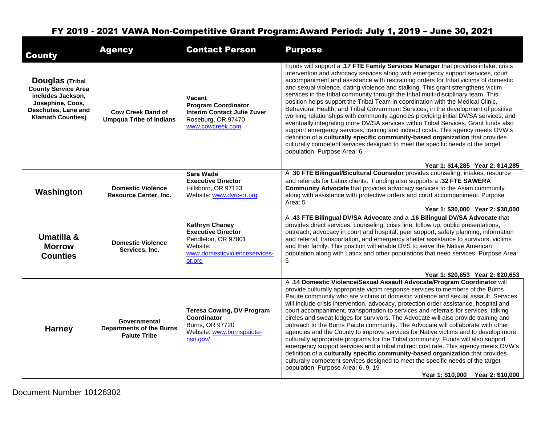| <b>County</b>                                                                                                                                    | <b>Agency</b>                                                                 | <b>Contact Person</b>                                                                                                            | <b>Purpose</b>                                                                                                                                                                                                                                                                                                                                                                                                                                                                                                                                                                                                                                                                                                                                                                                                                                                                                                                                                                                                                                                                                                                 |
|--------------------------------------------------------------------------------------------------------------------------------------------------|-------------------------------------------------------------------------------|----------------------------------------------------------------------------------------------------------------------------------|--------------------------------------------------------------------------------------------------------------------------------------------------------------------------------------------------------------------------------------------------------------------------------------------------------------------------------------------------------------------------------------------------------------------------------------------------------------------------------------------------------------------------------------------------------------------------------------------------------------------------------------------------------------------------------------------------------------------------------------------------------------------------------------------------------------------------------------------------------------------------------------------------------------------------------------------------------------------------------------------------------------------------------------------------------------------------------------------------------------------------------|
| <b>Douglas (Tribal</b><br><b>County Service Area</b><br>includes Jackson,<br>Josephine, Coos,<br>Deschutes, Lane and<br><b>Klamath Counties)</b> | <b>Cow Creek Band of</b><br><b>Umpqua Tribe of Indians</b>                    | Vacant<br><b>Program Coordinator</b><br><b>Interim Contact Julie Zuver</b><br>Roseburg, OR 97470<br>www.cowcreek.com             | Funds will support a .17 FTE Family Services Manager that provides intake, crisis<br>intervention and advocacy services along with emergency support services, court<br>accompaniment and assistance with restraining orders for tribal victims of domestic<br>and sexual violence, dating violence and stalking. This grant strengthens victim<br>services in the tribal community through the tribal multi-disciplinary team. This<br>position helps support the Tribal Team in coordination with the Medical Clinic,<br>Behavioral Health, and Tribal Government Services, in the development of positive<br>working relationships with community agencies providing initial DV/SA services; and<br>eventually integrating more DV/SA services within Tribal Services. Grant funds also<br>support emergency services, training and indirect costs. This agency meets OVW's<br>definition of a culturally specific community-based organization that provides<br>culturally competent services designed to meet the specific needs of the target<br>population. Purpose Area: 6                                             |
|                                                                                                                                                  |                                                                               |                                                                                                                                  | Year 1: \$14,285 Year 2: \$14,285<br>A .30 FTE Bilingual/Bicultural Counselor provides counseling, intakes, resource                                                                                                                                                                                                                                                                                                                                                                                                                                                                                                                                                                                                                                                                                                                                                                                                                                                                                                                                                                                                           |
| Washington                                                                                                                                       | <b>Domestic Violence</b><br><b>Resource Center, Inc.</b>                      | Sara Wade<br><b>Executive Director</b><br>Hillsboro, OR 97123<br>Website: www.dvrc-or.org                                        | and referrals for Latinx clients. Funding also supports a .32 FTE SAWERA<br>Community Advocate that provides advocacy services to the Asian community<br>along with assistance with protective orders and court accompaniment. Purpose<br>Area: 5                                                                                                                                                                                                                                                                                                                                                                                                                                                                                                                                                                                                                                                                                                                                                                                                                                                                              |
|                                                                                                                                                  |                                                                               |                                                                                                                                  | Year 1: \$30,000 Year 2: \$30,000                                                                                                                                                                                                                                                                                                                                                                                                                                                                                                                                                                                                                                                                                                                                                                                                                                                                                                                                                                                                                                                                                              |
| Umatilla &<br><b>Morrow</b><br><b>Counties</b>                                                                                                   | <b>Domestic Violence</b><br>Services, Inc.                                    | <b>Kathryn Chaney</b><br><b>Executive Director</b><br>Pendleton, OR 97801<br>Website:<br>www.domesticviolenceservices-<br>or.org | A .43 FTE Bilingual DV/SA Advocate and a .16 Bilingual DV/SA Advocate that<br>provides direct services, counseling, crisis line, follow up, public presentations,<br>outreach, advocacy in court and hospital, peer support, safety planning, information<br>and referral, transportation, and emergency shelter assistance to survivors, victims<br>and their family. This position will enable DVS to serve the Native American<br>population along with Latinx and other populations that need services. Purpose Area:<br>5                                                                                                                                                                                                                                                                                                                                                                                                                                                                                                                                                                                                 |
|                                                                                                                                                  |                                                                               |                                                                                                                                  | Year 1: \$20,653 Year 2: \$20,653                                                                                                                                                                                                                                                                                                                                                                                                                                                                                                                                                                                                                                                                                                                                                                                                                                                                                                                                                                                                                                                                                              |
| <b>Harney</b>                                                                                                                                    | <b>Governmental</b><br><b>Departments of the Burns</b><br><b>Paiute Tribe</b> | <b>Teresa Cowing, DV Program</b><br>Coordinator<br>Burns, OR 97720<br>Website: www.burnspaiute-<br>nsn.gov/                      | A .14 Domestic Violence/Sexual Assault Advocate/Program Coordinator will<br>provide culturally appropriate victim response services to members of the Burns<br>Paiute community who are victims of domestic violence and sexual assault. Services<br>will include crisis intervention, advocacy, protection order assistance, hospital and<br>court accompaniment, transportation to services and referrals for services, talking<br>circles and sweat lodges for survivors. The Advocate will also provide training and<br>outreach to the Burns Paiute community. The Advocate will collaborate with other<br>agencies and the County to improve services for Native victims and to develop more<br>culturally appropriate programs for the Tribal community. Funds will also support<br>emergency support services and a tribal indirect cost rate. This agency meets OVW's<br>definition of a culturally specific community-based organization that provides<br>culturally competent services designed to meet the specific needs of the target<br>population. Purpose Area: 6, 9, 19<br>Year 1: \$10,000 Year 2: \$10,000 |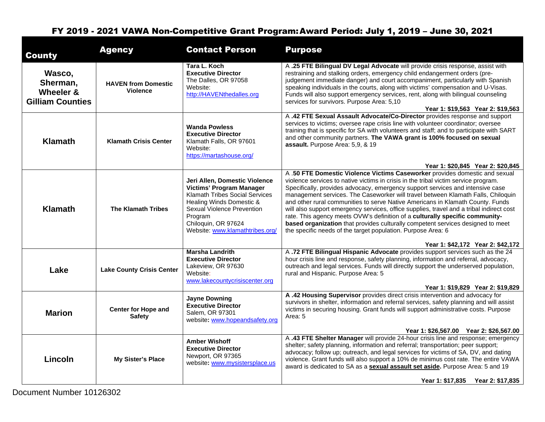| <b>County</b>                                              | <b>Agency</b>                                 | <b>Contact Person</b>                                                                                                                                                                                                                    | <b>Purpose</b>                                                                                                                                                                                                                                                                                                                                                                                                                                                                                                                                                                                                                                                                                                                                                                                                                      |
|------------------------------------------------------------|-----------------------------------------------|------------------------------------------------------------------------------------------------------------------------------------------------------------------------------------------------------------------------------------------|-------------------------------------------------------------------------------------------------------------------------------------------------------------------------------------------------------------------------------------------------------------------------------------------------------------------------------------------------------------------------------------------------------------------------------------------------------------------------------------------------------------------------------------------------------------------------------------------------------------------------------------------------------------------------------------------------------------------------------------------------------------------------------------------------------------------------------------|
| Wasco,<br>Sherman,<br>Wheeler &<br><b>Gilliam Counties</b> | <b>HAVEN from Domestic</b><br><b>Violence</b> | Tara L. Koch<br><b>Executive Director</b><br>The Dalles, OR 97058<br>Website:<br>http://HAVENthedalles.org                                                                                                                               | A .25 FTE Bilingual DV Legal Advocate will provide crisis response, assist with<br>restraining and stalking orders, emergency child endangerment orders (pre-<br>judgement immediate danger) and court accompaniment, particularly with Spanish<br>speaking individuals in the courts, along with victims' compensation and U-Visas.<br>Funds will also support emergency services, rent, along with bilingual counseling<br>services for survivors. Purpose Area: 5,10<br>Year 1: \$19,563 Year 2: \$19,563                                                                                                                                                                                                                                                                                                                        |
| <b>Klamath</b>                                             | <b>Klamath Crisis Center</b>                  | <b>Wanda Powless</b><br><b>Executive Director</b><br>Klamath Falls, OR 97601<br>Website:<br>https://martashouse.org/                                                                                                                     | A .42 FTE Sexual Assault Advocate/Co-Director provides response and support<br>services to victims; oversee rape crisis line with volunteer coordinator; oversee<br>training that is specific for SA with volunteers and staff; and to participate with SART<br>and other community partners. The VAWA grant is 100% focused on sexual<br>assault. Purpose Area: 5,9, & 19                                                                                                                                                                                                                                                                                                                                                                                                                                                          |
| <b>Klamath</b>                                             | <b>The Klamath Tribes</b>                     | Jeri Allen, Domestic Violence<br><b>Victims' Program Manager</b><br><b>Klamath Tribes Social Services</b><br>Healing Winds Domestic &<br>Sexual Violence Prevention<br>Program<br>Chiloquin, OR 97624<br>Website: www.klamathtribes.org/ | Year 1: \$20,845 Year 2: \$20,845<br>A .50 FTE Domestic Violence Victims Caseworker provides domestic and sexual<br>violence services to native victims in crisis in the tribal victim service program.<br>Specifically, provides advocacy, emergency support services and intensive case<br>management services. The Caseworker will travel between Klamath Falls, Chiloquin<br>and other rural communities to serve Native Americans in Klamath County. Funds<br>will also support emergency services, office supplies, travel and a tribal indirect cost<br>rate. This agency meets OVW's definition of a culturally specific community-<br>based organization that provides culturally competent services designed to meet<br>the specific needs of the target population. Purpose Area: 6<br>Year 1: \$42,172 Year 2: \$42,172 |
| Lake                                                       | <b>Lake County Crisis Center</b>              | <b>Marsha Landrith</b><br><b>Executive Director</b><br>Lakeview, OR 97630<br>Website:<br>www.lakecountycrisiscenter.org                                                                                                                  | A .72 FTE Bilingual Hispanic Advocate provides support services such as the 24<br>hour crisis line and response, safety planning, information and referral, advocacy,<br>outreach and legal services. Funds will directly support the underserved population,<br>rural and Hispanic. Purpose Area: 5<br>Year 1: \$19,829 Year 2: \$19,829                                                                                                                                                                                                                                                                                                                                                                                                                                                                                           |
| <b>Marion</b>                                              | <b>Center for Hope and</b><br><b>Safety</b>   | <b>Jayne Downing</b><br><b>Executive Director</b><br>Salem, OR 97301<br>website: www.hopeandsafety.org                                                                                                                                   | A .42 Housing Supervisor provides direct crisis intervention and advocacy for<br>survivors in shelter, information and referral services, safety planning and will assist<br>victims in securing housing. Grant funds will support administrative costs. Purpose<br>Area: 5<br>Year 1: \$26,567.00 Year 2: \$26,567.00                                                                                                                                                                                                                                                                                                                                                                                                                                                                                                              |
| Lincoln                                                    | <b>My Sister's Place</b>                      | <b>Amber Wishoff</b><br><b>Executive Director</b><br>Newport, OR 97365<br>website: www.mysistersplace.us                                                                                                                                 | A .43 FTE Shelter Manager will provide 24-hour crisis line and response; emergency<br>shelter; safety planning, information and referral; transportation; peer support;<br>advocacy; follow up; outreach, and legal services for victims of SA, DV, and dating<br>violence. Grant funds will also support a 10% de minimus cost rate. The entire VAWA<br>award is dedicated to SA as a sexual assault set aside. Purpose Area: 5 and 19<br>Year 1: \$17,835 Year 2: \$17,835                                                                                                                                                                                                                                                                                                                                                        |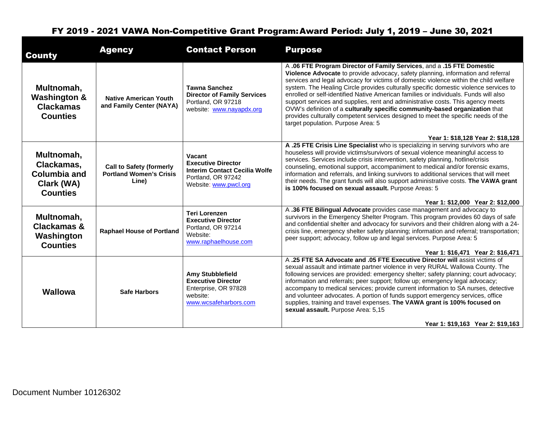| <b>County</b>                                                                    | <b>Agency</b>                                                              | <b>Contact Person</b>                                                                                                      | <b>Purpose</b>                                                                                                                                                                                                                                                                                                                                                                                                                                                                                                                                                                                                                                                                                                                   |
|----------------------------------------------------------------------------------|----------------------------------------------------------------------------|----------------------------------------------------------------------------------------------------------------------------|----------------------------------------------------------------------------------------------------------------------------------------------------------------------------------------------------------------------------------------------------------------------------------------------------------------------------------------------------------------------------------------------------------------------------------------------------------------------------------------------------------------------------------------------------------------------------------------------------------------------------------------------------------------------------------------------------------------------------------|
| Multnomah,<br><b>Washington &amp;</b><br><b>Clackamas</b><br><b>Counties</b>     | <b>Native American Youth</b><br>and Family Center (NAYA)                   | <b>Tawna Sanchez</b><br><b>Director of Family Services</b><br>Portland, OR 97218<br>website: www.nayapdx.org               | A .06 FTE Program Director of Family Services, and a .15 FTE Domestic<br>Violence Advocate to provide advocacy, safety planning, information and referral<br>services and legal advocacy for victims of domestic violence within the child welfare<br>system. The Healing Circle provides culturally specific domestic violence services to<br>enrolled or self-identified Native American families or individuals. Funds will also<br>support services and supplies, rent and administrative costs. This agency meets<br>OVW's definition of a culturally specific community-based organization that<br>provides culturally competent services designed to meet the specific needs of the<br>target population. Purpose Area: 5 |
|                                                                                  |                                                                            |                                                                                                                            | Year 1: \$18,128 Year 2: \$18,128                                                                                                                                                                                                                                                                                                                                                                                                                                                                                                                                                                                                                                                                                                |
| Multnomah,<br>Clackamas,<br><b>Columbia and</b><br>Clark (WA)<br><b>Counties</b> | <b>Call to Safety (formerly</b><br><b>Portland Women's Crisis</b><br>Line) | Vacant<br><b>Executive Director</b><br><b>Interim Contact Cecilia Wolfe</b><br>Portland, OR 97242<br>Website: www.pwcl.org | A .25 FTE Crisis Line Specialist who is specializing in serving survivors who are<br>houseless will provide victims/survivors of sexual violence meaningful access to<br>services. Services include crisis intervention, safety planning, hotline/crisis<br>counseling, emotional support, accompaniment to medical and/or forensic exams,<br>information and referrals, and linking survivors to additional services that will meet<br>their needs. The grant funds will also support administrative costs. The VAWA grant<br>is 100% focused on sexual assault. Purpose Areas: 5                                                                                                                                               |
|                                                                                  |                                                                            |                                                                                                                            | Year 1: \$12,000 Year 2: \$12,000                                                                                                                                                                                                                                                                                                                                                                                                                                                                                                                                                                                                                                                                                                |
| Multnomah,<br><b>Clackamas &amp;</b><br>Washington<br><b>Counties</b>            | <b>Raphael House of Portland</b>                                           | <b>Teri Lorenzen</b><br><b>Executive Director</b><br>Portland, OR 97214<br>Website:<br>www.raphaelhouse.com                | A .36 FTE Bilingual Advocate provides case management and advocacy to<br>survivors in the Emergency Shelter Program. This program provides 60 days of safe<br>and confidential shelter and advocacy for survivors and their children along with a 24-<br>crisis line, emergency shelter safety planning; information and referral; transportation;<br>peer support; advocacy, follow up and legal services. Purpose Area: 5                                                                                                                                                                                                                                                                                                      |
|                                                                                  |                                                                            |                                                                                                                            | Year 1: \$16,471 Year 2: \$16,471                                                                                                                                                                                                                                                                                                                                                                                                                                                                                                                                                                                                                                                                                                |
| <b>Wallowa</b>                                                                   | <b>Safe Harbors</b>                                                        | <b>Amy Stubblefield</b><br><b>Executive Director</b><br>Enterprise, OR 97828<br>website:<br>www.wcsafeharbors.com          | A .25 FTE SA Advocate and .05 FTE Executive Director will assist victims of<br>sexual assault and intimate partner violence in very RURAL Wallowa County. The<br>following services are provided: emergency shelter; safety planning; court advocacy;<br>information and referrals; peer support; follow up; emergency legal advocacy;<br>accompany to medical services; provide current information to SA nurses, detective<br>and volunteer advocates. A portion of funds support emergency services, office<br>supplies, training and travel expenses. The VAWA grant is 100% focused on<br>sexual assault. Purpose Area: 5,15                                                                                                |
|                                                                                  |                                                                            |                                                                                                                            | Year 1: \$19.163 Year 2: \$19.163                                                                                                                                                                                                                                                                                                                                                                                                                                                                                                                                                                                                                                                                                                |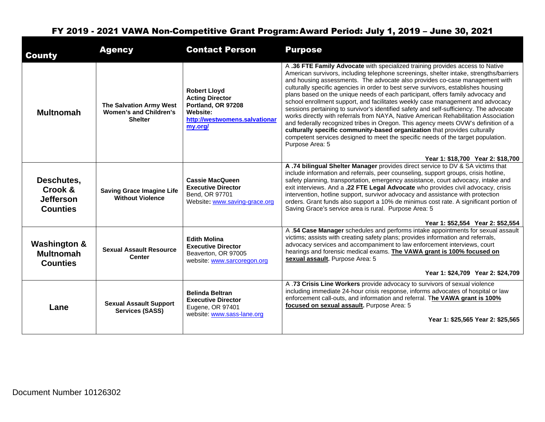| <b>County</b>                                                  | <b>Agency</b>                                                              | <b>Contact Person</b>                                                                                                              | <b>Purpose</b>                                                                                                                                                                                                                                                                                                                                                                                                                                                                                                                                                                                                                                                                                                                                                                                                                                                                                                                                                                                                    |
|----------------------------------------------------------------|----------------------------------------------------------------------------|------------------------------------------------------------------------------------------------------------------------------------|-------------------------------------------------------------------------------------------------------------------------------------------------------------------------------------------------------------------------------------------------------------------------------------------------------------------------------------------------------------------------------------------------------------------------------------------------------------------------------------------------------------------------------------------------------------------------------------------------------------------------------------------------------------------------------------------------------------------------------------------------------------------------------------------------------------------------------------------------------------------------------------------------------------------------------------------------------------------------------------------------------------------|
| <b>Multnomah</b>                                               | The Salvation Army West<br><b>Women's and Children's</b><br><b>Shelter</b> | <b>Robert Lloyd</b><br><b>Acting Director</b><br>Portland, OR 97208<br><b>Website:</b><br>http://westwomens.salvationar<br>my.org/ | A .36 FTE Family Advocate with specialized training provides access to Native<br>American survivors, including telephone screenings, shelter intake, strengths/barriers<br>and housing assessments. The advocate also provides co-case management with<br>culturally specific agencies in order to best serve survivors, establishes housing<br>plans based on the unique needs of each participant, offers family advocacy and<br>school enrollment support, and facilitates weekly case management and advocacy<br>sessions pertaining to survivor's identified safety and self-sufficiency. The advocate<br>works directly with referrals from NAYA, Native American Rehabilitation Association<br>and federally recognized tribes in Oregon. This agency meets OVW's definition of a<br>culturally specific community-based organization that provides culturally<br>competent services designed to meet the specific needs of the target population.<br>Purpose Area: 5<br>Year 1: \$18,700 Year 2: \$18,700 |
| Deschutes,<br>Crook &<br><b>Jefferson</b><br><b>Counties</b>   | <b>Saving Grace Imagine Life</b><br><b>Without Violence</b>                | <b>Cassie MacQueen</b><br><b>Executive Director</b><br>Bend, OR 97701<br>Website: www.saving-grace.org                             | A .74 bilingual Shelter Manager provides direct service to DV & SA victims that<br>include information and referrals, peer counseling, support groups, crisis hotline,<br>safety planning, transportation, emergency assistance, court advocacy, intake and<br>exit interviews. And a .22 FTE Legal Advocate who provides civil advocacy, crisis<br>intervention, hotline support, survivor advocacy and assistance with protection<br>orders. Grant funds also support a 10% de minimus cost rate. A significant portion of<br>Saving Grace's service area is rural. Purpose Area: 5                                                                                                                                                                                                                                                                                                                                                                                                                             |
| <b>Washington &amp;</b><br><b>Multnomah</b><br><b>Counties</b> | <b>Sexual Assault Resource</b><br><b>Center</b>                            | <b>Edith Molina</b><br><b>Executive Director</b><br>Beaverton, OR 97005<br>website: www.sarcoregon.org                             | Year 1: \$52.554 Year 2: \$52.554<br>A .54 Case Manager schedules and performs intake appointments for sexual assault<br>victims; assists with creating safety plans; provides information and referrals,<br>advocacy services and accompaniment to law enforcement interviews, court<br>hearings and forensic medical exams. The VAWA grant is 100% focused on<br>sexual assault. Purpose Area: 5                                                                                                                                                                                                                                                                                                                                                                                                                                                                                                                                                                                                                |
| Lane                                                           | <b>Sexual Assault Support</b><br><b>Services (SASS)</b>                    | <b>Belinda Beltran</b><br><b>Executive Director</b><br>Eugene, OR 97401<br>website: www.sass-lane.org                              | Year 1: \$24,709 Year 2: \$24,709<br>A .73 Crisis Line Workers provide advocacy to survivors of sexual violence<br>including immediate 24-hour crisis response, informs advocates of hospital or law<br>enforcement call-outs, and information and referral. The VAWA grant is 100%<br>focused on sexual assault. Purpose Area: 5<br>Year 1: \$25,565 Year 2: \$25,565                                                                                                                                                                                                                                                                                                                                                                                                                                                                                                                                                                                                                                            |